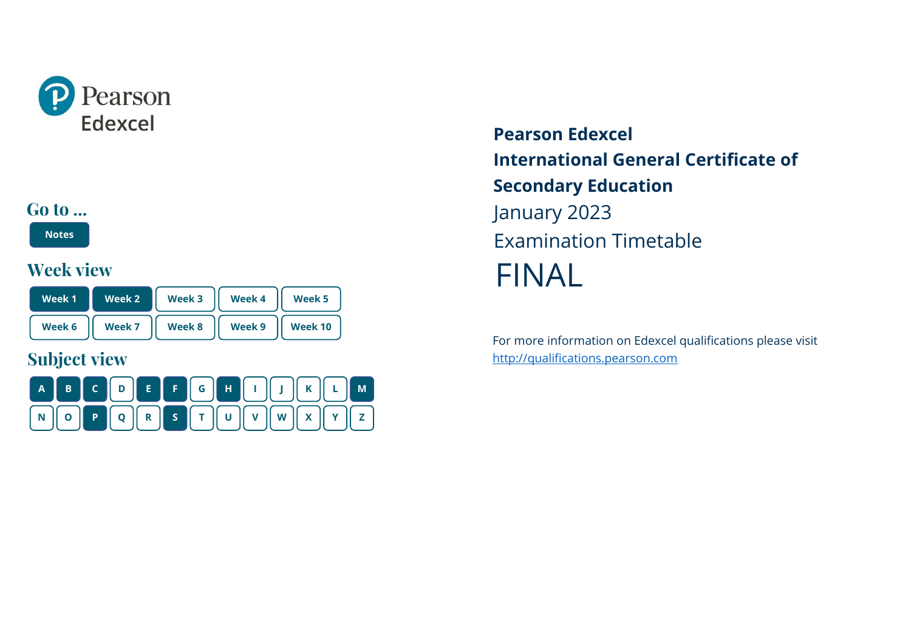<span id="page-0-0"></span>



**[Notes](#page-1-0)**

## **Week view**

| Week 1 | Week 2 | Week 3 | Week 4 | Week <sub>5</sub> |
|--------|--------|--------|--------|-------------------|
| Week 6 | Week 7 | Week 8 | Week 9 | Week 10           |

## **Subject view**



**Pearson Edexcel International General Certificate of Secondary Education** January 2023 Examination Timetable FINAL

For more information on Edexcel qualifications please visit [http://qualifications.pearson.com](http://qualifications.pearson.com/)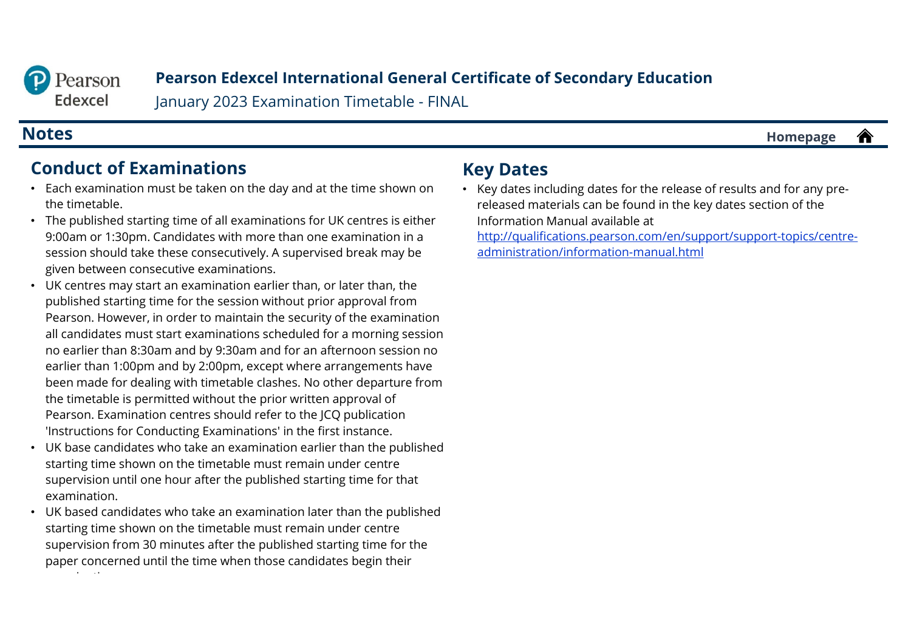<span id="page-1-0"></span>

January 2023 Examination Timetable - FINAL

#### **Notes [Homepage](#page-0-0)**

# **Conduct of Examinations**

- Each examination must be taken on the day and at the time shown on the timetable.
- The published starting time of all examinations for UK centres is either 9:00am or 1:30pm. Candidates with more than one examination in a session should take these consecutively. A supervised break may be given between consecutive examinations.
- UK centres may start an examination earlier than, or later than, the published starting time for the session without prior approval from Pearson. However, in order to maintain the security of the examination all candidates must start examinations scheduled for a morning session no earlier than 8:30am and by 9:30am and for an afternoon session no earlier than 1:00pm and by 2:00pm, except where arrangements have been made for dealing with timetable clashes. No other departure from the timetable is permitted without the prior written approval of Pearson. Examination centres should refer to the JCQ publication 'Instructions for Conducting Examinations' in the first instance.
- UK base candidates who take an examination earlier than the published starting time shown on the timetable must remain under centre supervision until one hour after the published starting time for that examination.
- UK based candidates who take an examination later than the published starting time shown on the timetable must remain under centre supervision from 30 minutes after the published starting time for the paper concerned until the time when those candidates begin their i ti

## **Key Dates**

• Key dates including dates for the release of results and for any prereleased materials can be found in the key dates section of the Information Manual available at [http://qualifications.pearson.com/en/support/support-topics/centre-](http://qualifications.pearson.com/en/support/support-topics/centre-administration/information-manual.html)

administration/information-manual.html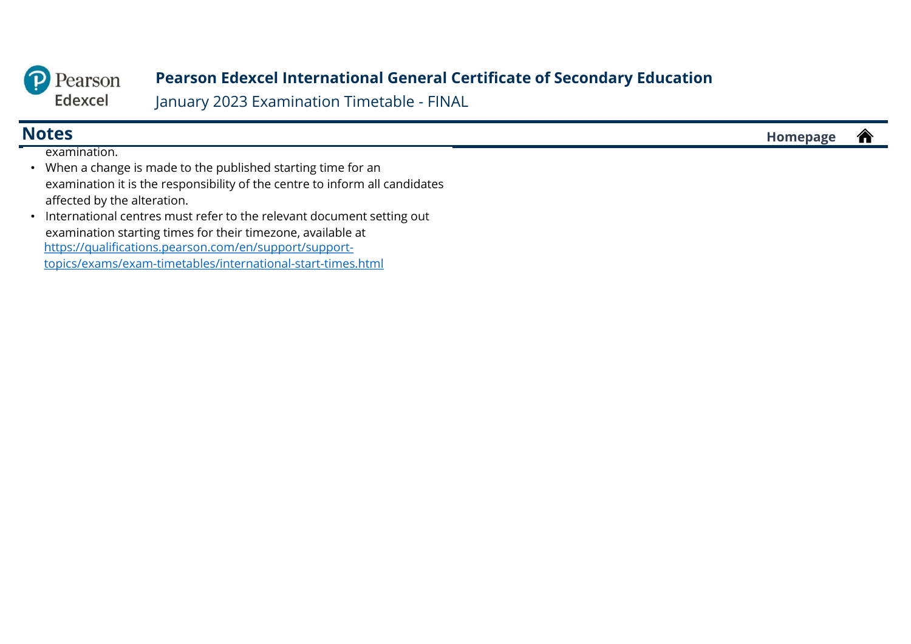

January 2023 Examination Timetable - FINAL

| 791<br>INO<br>--<br>$\sim$ $\sim$ $\sim$ $\sim$ $\sim$ | . |
|--------------------------------------------------------|---|
|                                                        |   |

examination.

- When a change is made to the published starting time for an examination it is the responsibility of the centre to inform all candidates affected by the alteration.
- International centres must refer to the relevant document setting out examination starting times for their timezone, available at https://qualifications.pearson.com/en/support/support[topics/exams/exam-timetables/international-start-times.html](https://qualifications.pearson.com/en/support/support-topics/exams/exam-timetables/international-start-times.html)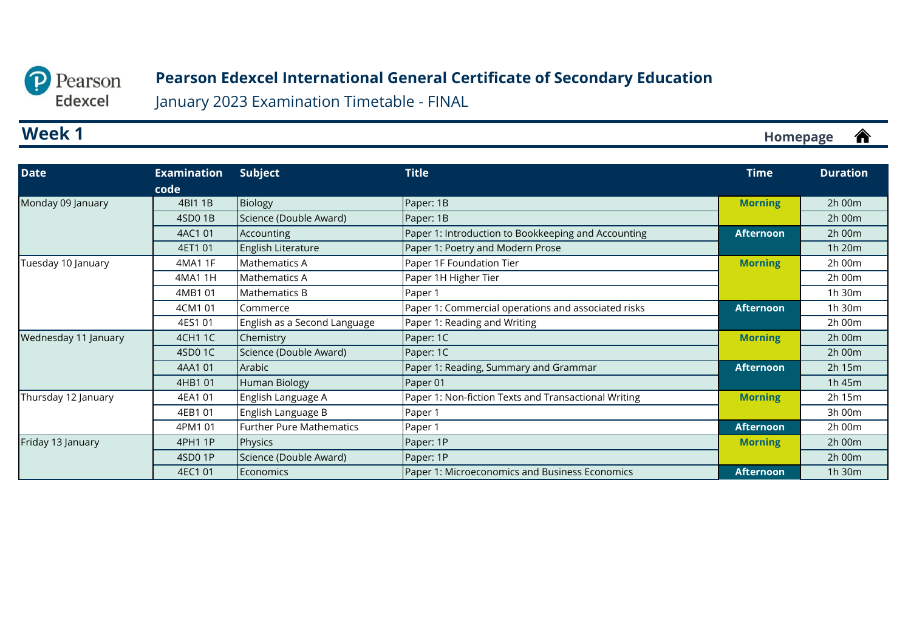<span id="page-3-0"></span>

January 2023 Examination Timetable - FINAL

## **Week 1**

| <b>Date</b>          | <b>Examination</b> | <b>Subject</b>                  | <b>Title</b>                                         | <b>Time</b>      | <b>Duration</b> |
|----------------------|--------------------|---------------------------------|------------------------------------------------------|------------------|-----------------|
|                      | code               |                                 |                                                      |                  |                 |
| Monday 09 January    | 4BI1 1B            | <b>Biology</b>                  | Paper: 1B                                            | <b>Morning</b>   | 2h 00m          |
|                      | 4SD01B             | Science (Double Award)          | Paper: 1B                                            |                  | 2h 00m          |
|                      | 4AC1 01            | Accounting                      | Paper 1: Introduction to Bookkeeping and Accounting  | <b>Afternoon</b> | 2h 00m          |
|                      | 4ET1 01            | English Literature              | Paper 1: Poetry and Modern Prose                     |                  | 1h 20m          |
| Tuesday 10 January   | 4MA1 1F            | Mathematics A                   | Paper 1F Foundation Tier                             | <b>Morning</b>   | 2h 00m          |
|                      | 4MA1 1H            | Mathematics A                   | Paper 1H Higher Tier                                 |                  | 2h 00m          |
|                      | 4MB101             | Mathematics B                   | Paper 1                                              |                  | 1h 30m          |
|                      | 4CM1 01            | Commerce                        | Paper 1: Commercial operations and associated risks  | <b>Afternoon</b> | 1h 30m          |
|                      | 4ES1 01            | English as a Second Language    | Paper 1: Reading and Writing                         |                  | 2h 00m          |
| Wednesday 11 January | 4CH1 1C            | Chemistry                       | Paper: 1C                                            | <b>Morning</b>   | 2h 00m          |
|                      | 4SD01C             | Science (Double Award)          | Paper: 1C                                            |                  | 2h 00m          |
|                      | 4AA101             | Arabic                          | Paper 1: Reading, Summary and Grammar                | <b>Afternoon</b> | 2h 15m          |
|                      | 4HB101             | <b>Human Biology</b>            | Paper 01                                             |                  | 1h 45m          |
| Thursday 12 January  | 4EA1 01            | English Language A              | Paper 1: Non-fiction Texts and Transactional Writing | <b>Morning</b>   | 2h 15m          |
|                      | 4EB1 01            | English Language B              | Paper 1                                              |                  | 3h 00m          |
|                      | 4PM1 01            | <b>Further Pure Mathematics</b> | Paper 1                                              | <b>Afternoon</b> | 2h 00m          |
| Friday 13 January    | 4PH1 1P            | <b>Physics</b>                  | Paper: 1P                                            | <b>Morning</b>   | $2h$ 00 $m$     |
|                      | 4SD01P             | Science (Double Award)          | Paper: 1P                                            |                  | 2h 00m          |
|                      | 4EC1 01            | Economics                       | Paper 1: Microeconomics and Business Economics       | <b>Afternoon</b> | 1h 30m          |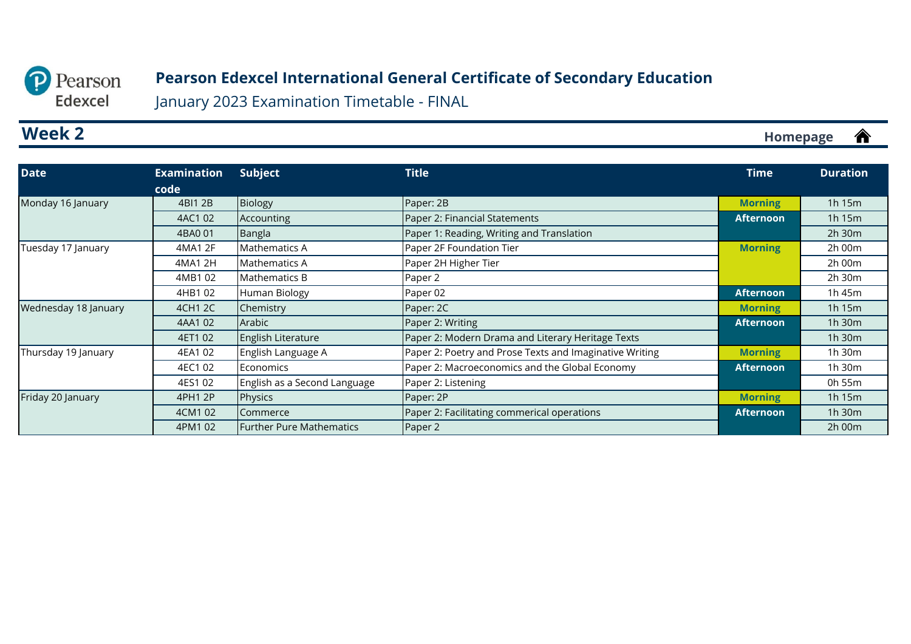<span id="page-4-0"></span>

January 2023 Examination Timetable - FINAL

## **Week 2**

| Date                 | <b>Examination</b> | Subject                         | <b>Title</b>                                            | <b>Time</b>      | <b>Duration</b> |
|----------------------|--------------------|---------------------------------|---------------------------------------------------------|------------------|-----------------|
|                      | code               |                                 |                                                         |                  |                 |
| Monday 16 January    | 4BI1 2B            | <b>Biology</b>                  | Paper: 2B                                               | <b>Morning</b>   | 1h 15m          |
|                      | 4AC1 02            | Accounting                      | Paper 2: Financial Statements                           | <b>Afternoon</b> | 1h 15m          |
|                      | 4BA0 01            | Bangla                          | Paper 1: Reading, Writing and Translation               |                  | 2h 30m          |
| Tuesday 17 January   | 4MA1 2F            | Mathematics A                   | Paper 2F Foundation Tier                                | <b>Morning</b>   | 2h 00m          |
|                      | 4MA1 2H            | Mathematics A                   | Paper 2H Higher Tier                                    |                  | 2h 00m          |
|                      | 4MB102             | Mathematics B                   | Paper 2                                                 |                  | 2h 30m          |
|                      | 4HB1 02            | Human Biology                   | Paper 02                                                | <b>Afternoon</b> | 1h 45m          |
| Wednesday 18 January | 4CH1 2C            | Chemistry                       | Paper: 2C                                               | <b>Morning</b>   | 1h 15m          |
|                      | 4AA102             | Arabic                          | Paper 2: Writing                                        | <b>Afternoon</b> | 1h 30m          |
|                      | 4ET1 02            | English Literature              | Paper 2: Modern Drama and Literary Heritage Texts       |                  | 1h 30m          |
| Thursday 19 January  | 4EA1 02            | English Language A              | Paper 2: Poetry and Prose Texts and Imaginative Writing | <b>Morning</b>   | 1h 30m          |
|                      | 4EC1 02            | Economics                       | Paper 2: Macroeconomics and the Global Economy          | <b>Afternoon</b> | 1h 30m          |
|                      | 4ES1 02            | English as a Second Language    | Paper 2: Listening                                      |                  | 0h 55m          |
| Friday 20 January    | 4PH1 2P            | Physics                         | Paper: 2P                                               | <b>Morning</b>   | 1h 15m          |
|                      | 4CM1 02            | Commerce                        | Paper 2: Facilitating commerical operations             | <b>Afternoon</b> | 1h 30m          |
|                      | 4PM1 02            | <b>Further Pure Mathematics</b> | Paper 2                                                 |                  | $2h$ 00 $m$     |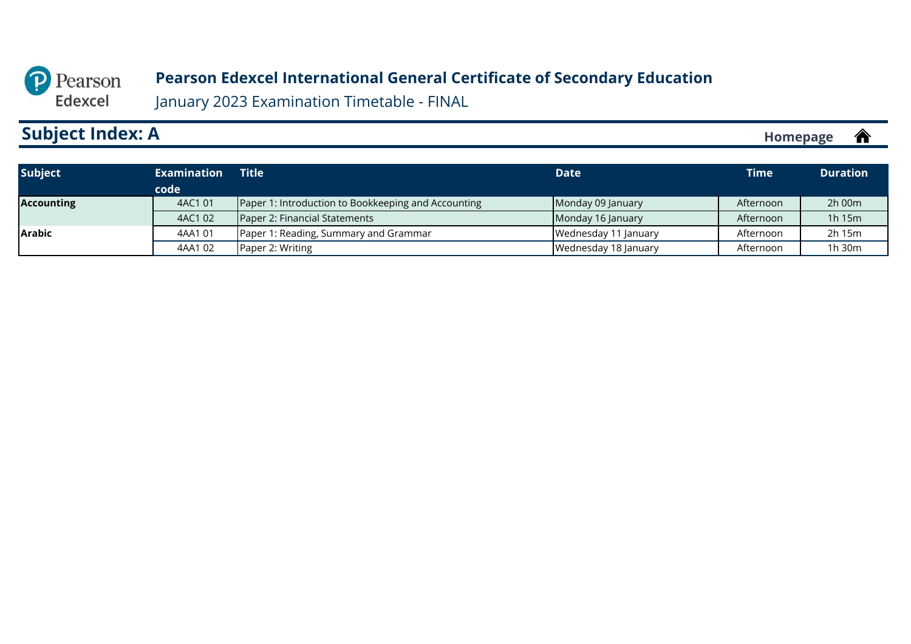<span id="page-5-0"></span>

January 2023 Examination Timetable - FINAL

## **Subject Index: A**

| <b>Subject</b>    | <b>Examination</b> | <b>Title</b>                                        | <b>Date</b>          | <b>Time</b> | <b>Duration</b> |
|-------------------|--------------------|-----------------------------------------------------|----------------------|-------------|-----------------|
|                   | code               |                                                     |                      |             |                 |
| <b>Accounting</b> | 4AC1 01            | Paper 1: Introduction to Bookkeeping and Accounting | Monday 09 January    | Afternoon   | $2h$ 00 $m$     |
|                   | 4AC1 02            | Paper 2: Financial Statements                       | Monday 16 January    | Afternoon   | $1h$ 15 $m$     |
| <b>Arabic</b>     | 4AA101             | Paper 1: Reading, Summary and Grammar               | Wednesday 11 January | Afternoon   | 2h 15m          |
|                   | 4AA102             | Paper 2: Writing                                    | Wednesday 18 January | Afternoon   | 1h 30m          |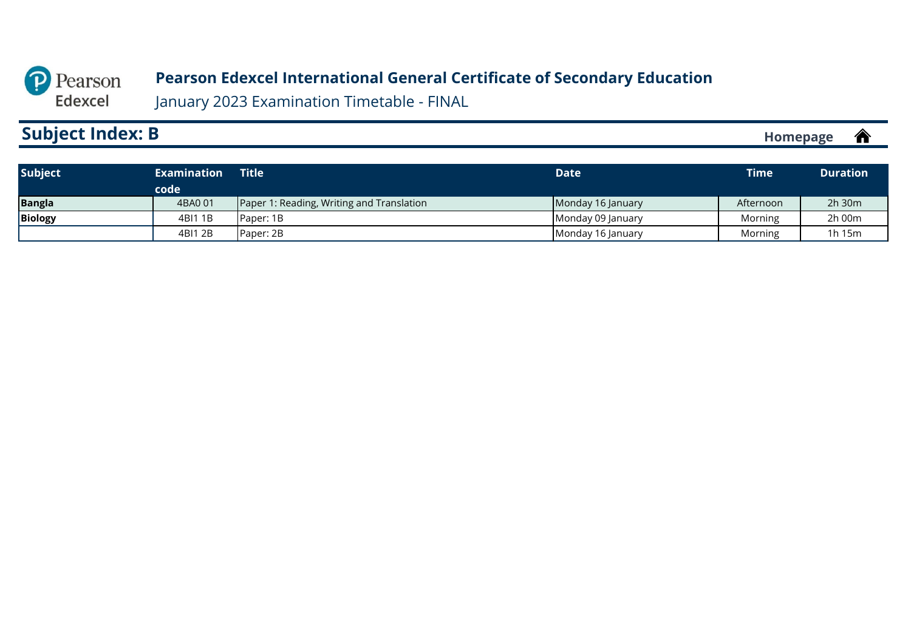<span id="page-6-0"></span>

January 2023 Examination Timetable - FINAL

#### **Subject Index: B [Homepage](#page-0-0)**合

| <b>Subject</b> | <b>Examination</b> | Title <b>\</b>                            | <b>Date</b>       | <b>Time</b> | <b>Duration</b> |
|----------------|--------------------|-------------------------------------------|-------------------|-------------|-----------------|
|                | code               |                                           |                   |             |                 |
| <b>Bangla</b>  | 4BA001             | Paper 1: Reading, Writing and Translation | Monday 16 January | Afternoon   | $2h$ 30 $m$     |
| <b>Biology</b> | 4BI1 1B            | <b>Paper: 1B</b>                          | Monday 09 January | Morning     | 2h 00m          |
|                | 4BI1 2B            | Paper: 2B                                 | Monday 16 January | Morning     | 1h 15m          |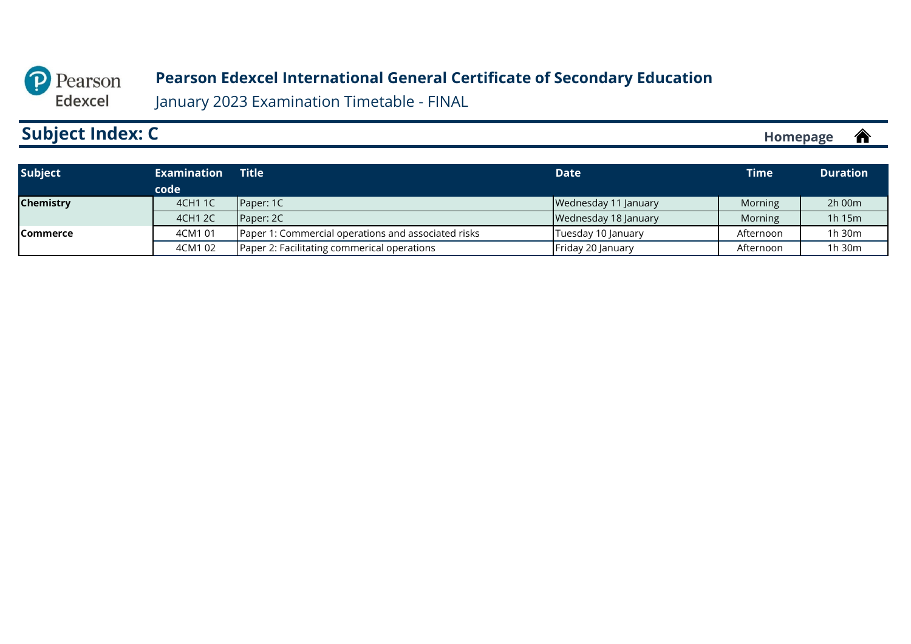

January 2023 Examination Timetable - FINAL

## **Subject Index: C**

| <b>Subject</b>   | <b>Examination</b> | <b>Title</b>                                        | <b>Date</b>          | Time      | <b>Duration</b> |
|------------------|--------------------|-----------------------------------------------------|----------------------|-----------|-----------------|
|                  | code               |                                                     |                      |           |                 |
| <b>Chemistry</b> | 4CH1 1C            | Paper: 1C                                           | Wednesday 11 January | Morning   | 2h 00m          |
|                  | 4CH1 2C            | Paper: 2C                                           | Wednesday 18 January | Morning   | 1h 15m          |
| <b>Commerce</b>  | 4CM1 01            | Paper 1: Commercial operations and associated risks | Tuesday 10 January   | Afternoon | $1h$ 30 $m$     |
|                  | 4CM1 02            | Paper 2: Facilitating commerical operations         | Friday 20 January    | Afternoon | 1h 30m          |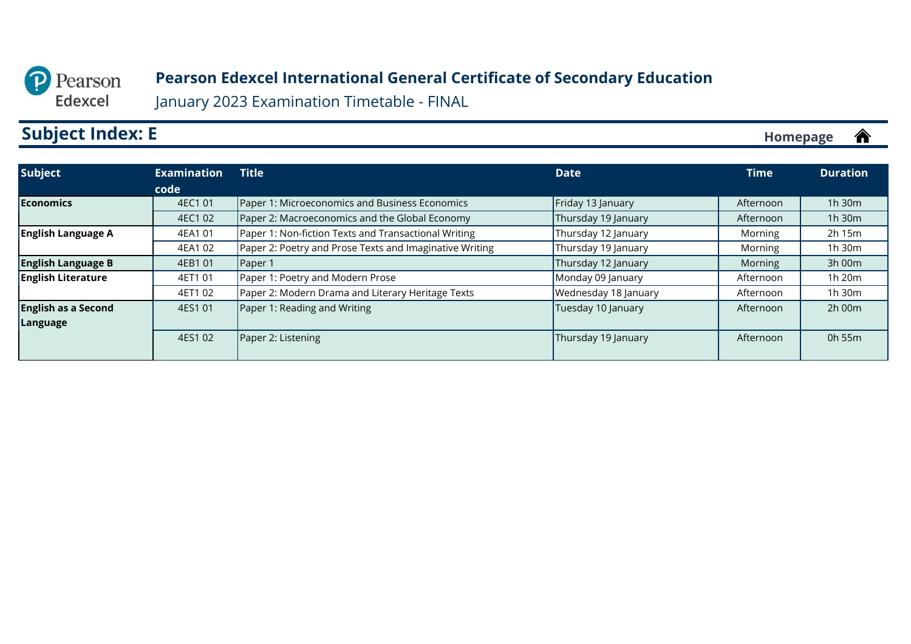<span id="page-8-0"></span>

January 2023 Examination Timetable - FINAL

# **Subject Index: E**

| Subject                    | <b>Examination</b> | <b>Title</b>                                            | <b>Date</b>          | <b>Time</b> | <b>Duration</b> |
|----------------------------|--------------------|---------------------------------------------------------|----------------------|-------------|-----------------|
|                            | code               |                                                         |                      |             |                 |
| <b>Economics</b>           | 4EC1 01            | Paper 1: Microeconomics and Business Economics          | Friday 13 January    | Afternoon   | $1h$ 30 $m$     |
|                            | 4EC1 02            | Paper 2: Macroeconomics and the Global Economy          | Thursday 19 January  | Afternoon   | $1h$ 30 $m$     |
| <b>English Language A</b>  | 4EA1 01            | Paper 1: Non-fiction Texts and Transactional Writing    | Thursday 12 January  | Morning     | 2h 15m          |
|                            | 4EA1 02            | Paper 2: Poetry and Prose Texts and Imaginative Writing | Thursday 19 January  | Morning     | 1h 30m          |
| <b>English Language B</b>  | 4EB1 01            | Paper 1                                                 | Thursday 12 January  | Morning     | 3h 00m          |
| <b>English Literature</b>  | 4ET1 01            | Paper 1: Poetry and Modern Prose                        | Monday 09 January    | Afternoon   | 1h 20m          |
|                            | 4ET1 02            | Paper 2: Modern Drama and Literary Heritage Texts       | Wednesday 18 January | Afternoon   | $1h$ 30 $m$     |
| <b>English as a Second</b> | 4ES1 01            | Paper 1: Reading and Writing                            | Tuesday 10 January   | Afternoon   | $2h$ 00 $m$     |
| <b>Language</b>            |                    |                                                         |                      |             |                 |
|                            | 4ES1 02            | Paper 2: Listening                                      | Thursday 19 January  | Afternoon   | 0h 55m          |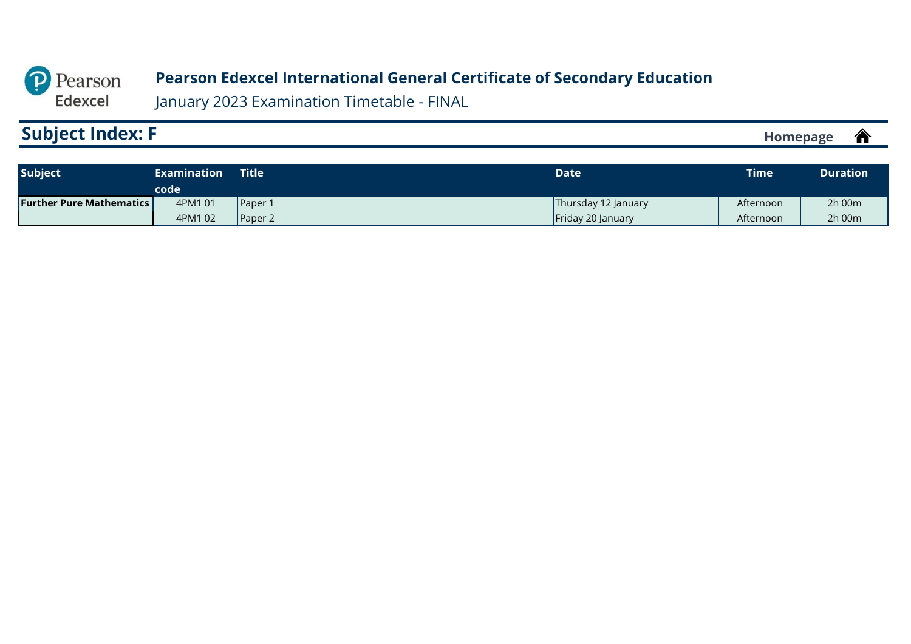<span id="page-9-0"></span>

| <b>Homebage</b> | - IF<br>П |
|-----------------|-----------|
|                 |           |

| <b>Subject</b>                    | <b>Examination</b> | <b>Title</b>    | <b>Date</b>              | <b>Time</b> | <b>Duration</b> |
|-----------------------------------|--------------------|-----------------|--------------------------|-------------|-----------------|
| <b>Further Pure Mathematics L</b> | code<br>4PM1 01    | <b>Paper</b>    | Thursday 12 January      | Afternoon   | $2h$ 00 $m$     |
|                                   | 4PM1 02            | <b>IPaper 2</b> | <b>Friday 20 January</b> | Afternoon   | $2h$ 00 $m$     |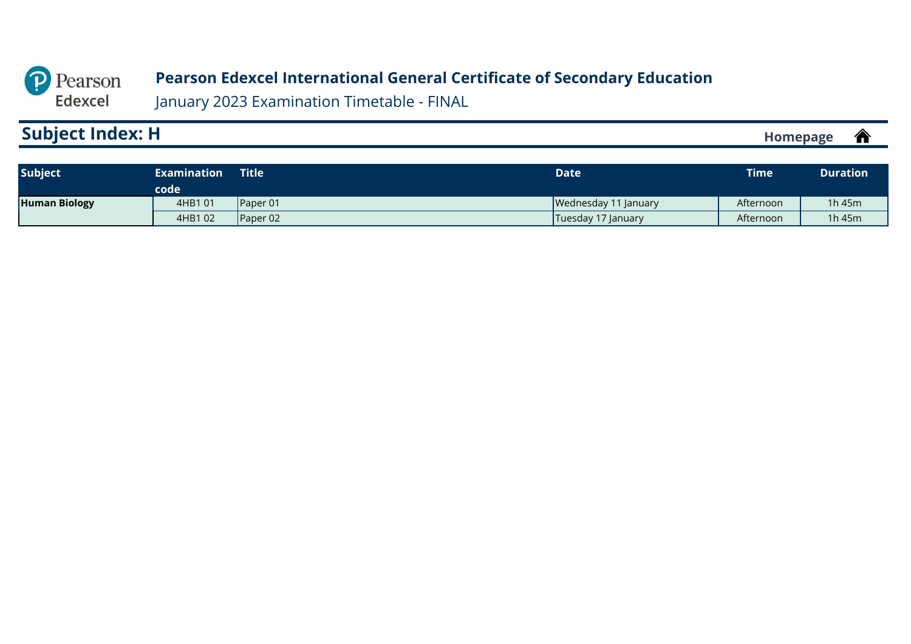<span id="page-10-0"></span>

| <b>Subject Index: H</b><br>W<br><b>Homepage</b> |
|-------------------------------------------------|
|-------------------------------------------------|

| Subject              | <b>Examination</b><br>code | <b>Title</b>     | Date                 | <b>Time</b> | <b>Duration</b> |
|----------------------|----------------------------|------------------|----------------------|-------------|-----------------|
| <b>Human Biology</b> | 4HB1 01                    | <b>IPaper 01</b> | Wednesday 11 January | Afternoon   | $1h$ 45 $m$     |
|                      | 4HB1 02                    | Paper 02         | Tuesday 17 January   | Afternoon   | 1h $45m$        |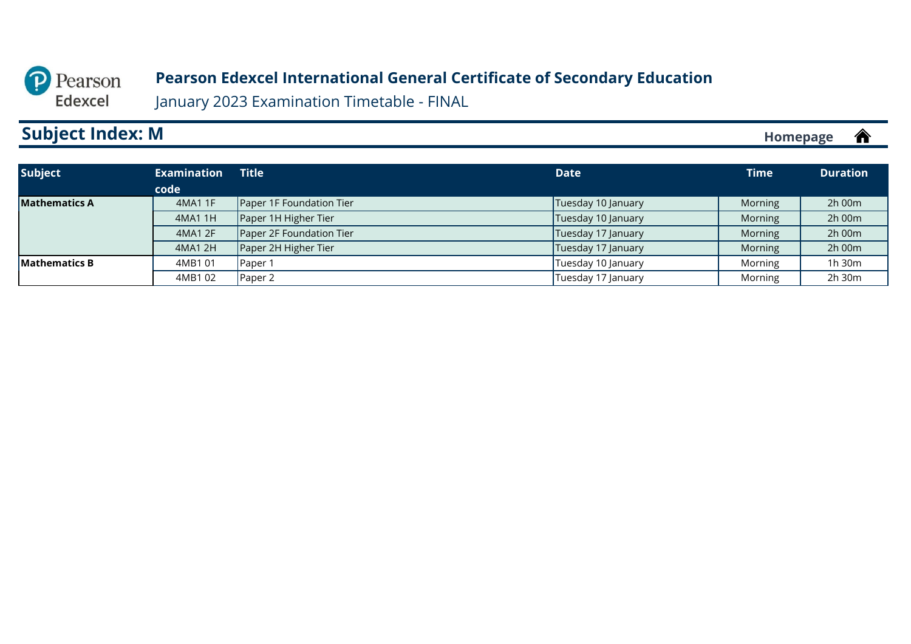<span id="page-11-0"></span>

January 2023 Examination Timetable - FINAL

## **Subject Index: M**

| <b>Subject</b>       | <b>Examination</b> | <b>Title</b>             | <b>Date</b>        | <b>Time</b> | <b>Duration</b> |
|----------------------|--------------------|--------------------------|--------------------|-------------|-----------------|
|                      | code               |                          |                    |             |                 |
| <b>Mathematics A</b> | 4MA1 1F            | Paper 1F Foundation Tier | Tuesday 10 January | Morning     | 2h 00m          |
|                      | 4MA1 1H            | Paper 1H Higher Tier     | Tuesday 10 January | Morning     | 2h 00m          |
|                      | 4MA1 2F            | Paper 2F Foundation Tier | Tuesday 17 January | Morning     | 2h 00m          |
|                      | 4MA1 2H            | Paper 2H Higher Tier     | Tuesday 17 January | Morning     | 2h 00m          |
| <b>Mathematics B</b> | 4MB1 01            | Paper 1                  | Tuesday 10 January | Morning     | 1h 30m          |
|                      | 4MB102             | Paper 2                  | Tuesday 17 January | Morning     | 2h 30m          |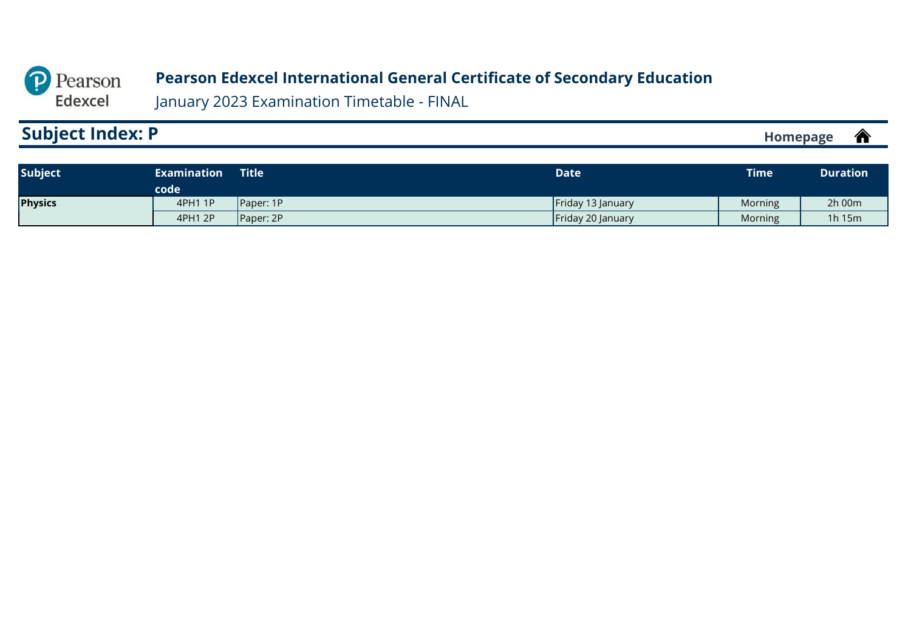<span id="page-12-0"></span>

| <b>Subject Index: P</b> | ╱<br><b>Homepage</b><br>-- |
|-------------------------|----------------------------|
|-------------------------|----------------------------|

| <b>Subject</b> | Examination<br>code | Title            | Date              | <b>Time</b> | <b>Duration</b> |
|----------------|---------------------|------------------|-------------------|-------------|-----------------|
| <b>Physics</b> | 4PH1 1P             | <b>Paper: 1P</b> | Friday 13 January | Morning     | 2h 00m          |
|                | 4PH1 2P             | Paper: 2P        | Friday 20 January | Morning     | 1h 15m          |